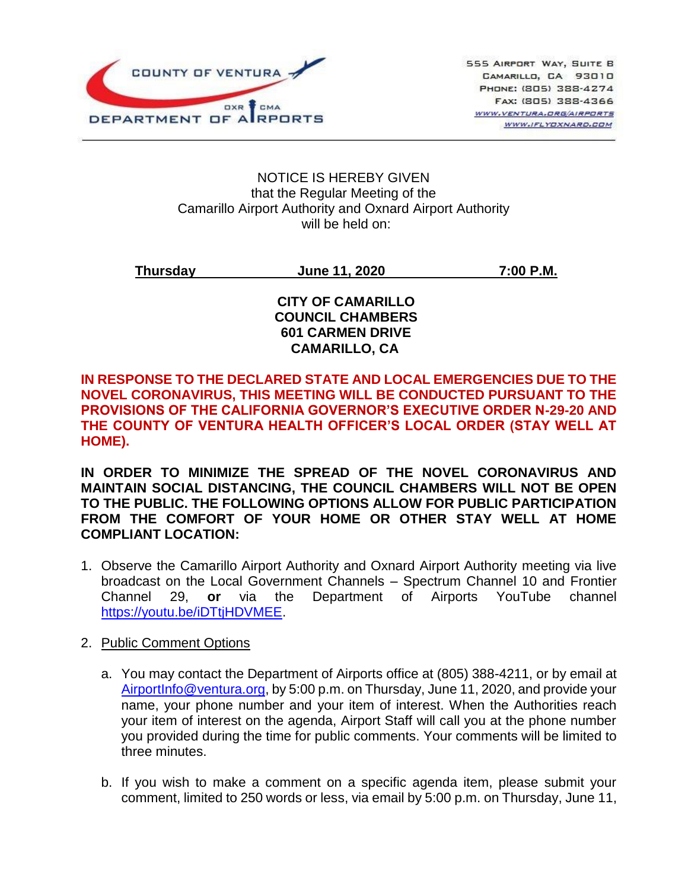

#### NOTICE IS HEREBY GIVEN that the Regular Meeting of the Camarillo Airport Authority and Oxnard Airport Authority will be held on:

**Thursday June 11, 2020 7:00 P.M.**

### **CITY OF CAMARILLO COUNCIL CHAMBERS 601 CARMEN DRIVE CAMARILLO, CA**

### **IN RESPONSE TO THE DECLARED STATE AND LOCAL EMERGENCIES DUE TO THE NOVEL CORONAVIRUS, THIS MEETING WILL BE CONDUCTED PURSUANT TO THE PROVISIONS OF THE CALIFORNIA GOVERNOR'S EXECUTIVE ORDER N-29-20 AND THE COUNTY OF VENTURA HEALTH OFFICER'S LOCAL ORDER (STAY WELL AT HOME).**

**IN ORDER TO MINIMIZE THE SPREAD OF THE NOVEL CORONAVIRUS AND MAINTAIN SOCIAL DISTANCING, THE COUNCIL CHAMBERS WILL NOT BE OPEN TO THE PUBLIC. THE FOLLOWING OPTIONS ALLOW FOR PUBLIC PARTICIPATION FROM THE COMFORT OF YOUR HOME OR OTHER STAY WELL AT HOME COMPLIANT LOCATION:** 

1. Observe the Camarillo Airport Authority and Oxnard Airport Authority meeting via live broadcast on the Local Government Channels – Spectrum Channel 10 and Frontier Channel 29, **or** via the Department of Airports YouTube channel [https://youtu.be/iDTtjHDVMEE.](https://youtu.be/iDTtjHDVMEE)

### 2. Public Comment Options

- a. You may contact the Department of Airports office at (805) 388-4211, or by email at [AirportInfo@ventura.org,](mailto:AirportInfo@ventura.org) by 5:00 p.m. on Thursday, June 11, 2020, and provide your name, your phone number and your item of interest. When the Authorities reach your item of interest on the agenda, Airport Staff will call you at the phone number you provided during the time for public comments. Your comments will be limited to three minutes.
- b. If you wish to make a comment on a specific agenda item, please submit your comment, limited to 250 words or less, via email by 5:00 p.m. on Thursday, June 11,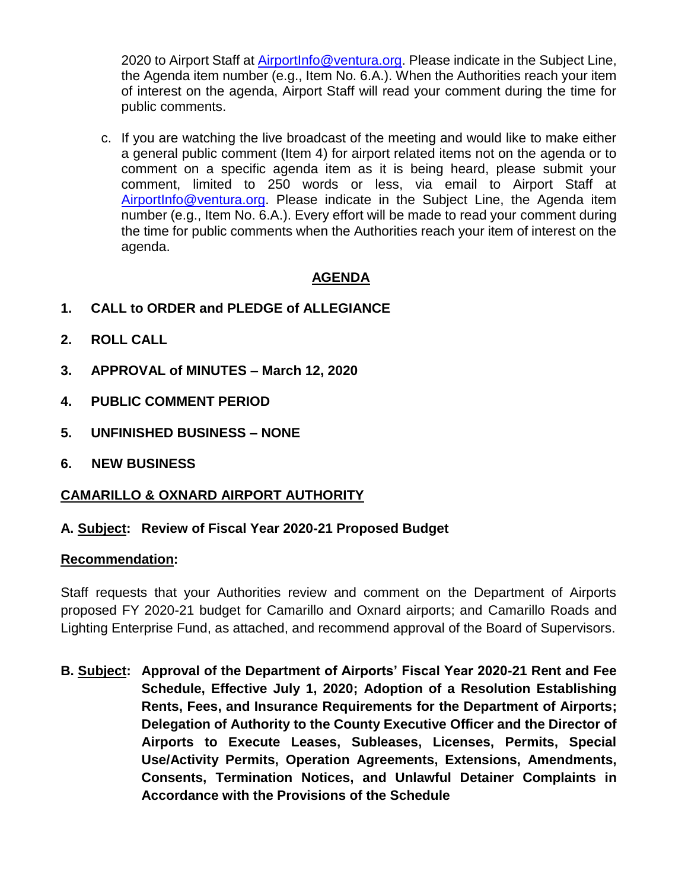2020 to Airport Staff at [AirportInfo@ventura.org.](mailto:AirportInfo@ventura.org) Please indicate in the Subject Line, the Agenda item number (e.g., Item No. 6.A.). When the Authorities reach your item of interest on the agenda, Airport Staff will read your comment during the time for public comments.

c. If you are watching the live broadcast of the meeting and would like to make either a general public comment (Item 4) for airport related items not on the agenda or to comment on a specific agenda item as it is being heard, please submit your comment, limited to 250 words or less, via email to Airport Staff at [AirportInfo@ventura.org.](mailto:AirportInfo@ventura.org) Please indicate in the Subject Line, the Agenda item number (e.g., Item No. 6.A.). Every effort will be made to read your comment during the time for public comments when the Authorities reach your item of interest on the agenda.

# **AGENDA**

- **1. CALL to ORDER and PLEDGE of ALLEGIANCE**
- **2. ROLL CALL**
- **3. APPROVAL of MINUTES – March 12, 2020**
- **4. PUBLIC COMMENT PERIOD**
- **5. UNFINISHED BUSINESS – NONE**
- **6. NEW BUSINESS**

### **CAMARILLO & OXNARD AIRPORT AUTHORITY**

### **A. Subject: Review of Fiscal Year 2020-21 Proposed Budget**

#### **Recommendation:**

Staff requests that your Authorities review and comment on the Department of Airports proposed FY 2020-21 budget for Camarillo and Oxnard airports; and Camarillo Roads and Lighting Enterprise Fund, as attached, and recommend approval of the Board of Supervisors.

**B. Subject: Approval of the Department of Airports' Fiscal Year 2020-21 Rent and Fee Schedule, Effective July 1, 2020; Adoption of a Resolution Establishing Rents, Fees, and Insurance Requirements for the Department of Airports; Delegation of Authority to the County Executive Officer and the Director of Airports to Execute Leases, Subleases, Licenses, Permits, Special Use/Activity Permits, Operation Agreements, Extensions, Amendments, Consents, Termination Notices, and Unlawful Detainer Complaints in Accordance with the Provisions of the Schedule**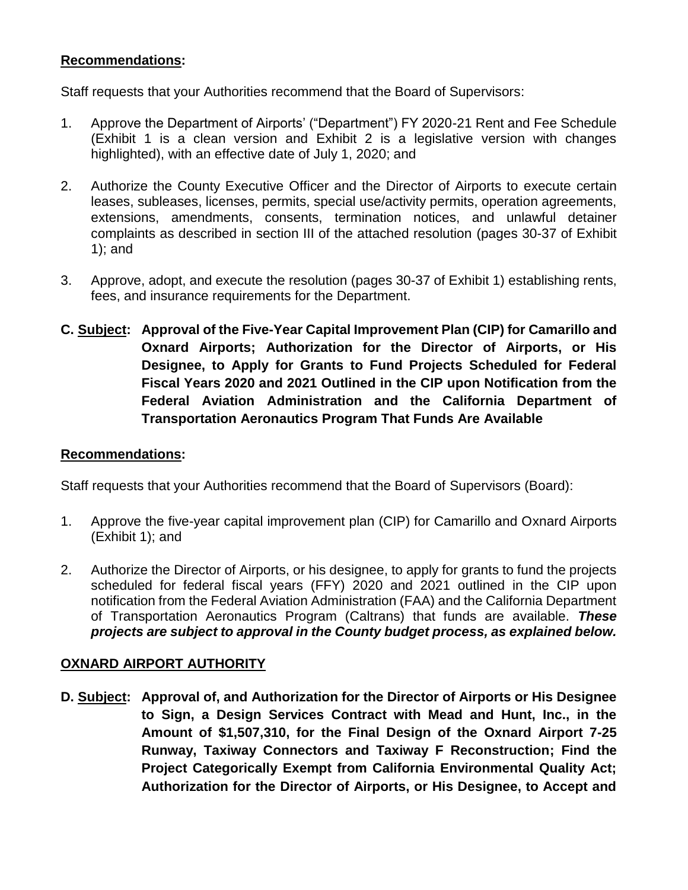# **Recommendations:**

Staff requests that your Authorities recommend that the Board of Supervisors:

- 1. Approve the Department of Airports' ("Department") FY 2020-21 Rent and Fee Schedule (Exhibit 1 is a clean version and Exhibit 2 is a legislative version with changes highlighted), with an effective date of July 1, 2020; and
- 2. Authorize the County Executive Officer and the Director of Airports to execute certain leases, subleases, licenses, permits, special use/activity permits, operation agreements, extensions, amendments, consents, termination notices, and unlawful detainer complaints as described in section III of the attached resolution (pages 30-37 of Exhibit 1); and
- 3. Approve, adopt, and execute the resolution (pages 30-37 of Exhibit 1) establishing rents, fees, and insurance requirements for the Department.
- **C. Subject: Approval of the Five-Year Capital Improvement Plan (CIP) for Camarillo and Oxnard Airports; Authorization for the Director of Airports, or His Designee, to Apply for Grants to Fund Projects Scheduled for Federal Fiscal Years 2020 and 2021 Outlined in the CIP upon Notification from the Federal Aviation Administration and the California Department of Transportation Aeronautics Program That Funds Are Available**

### **Recommendations:**

Staff requests that your Authorities recommend that the Board of Supervisors (Board):

- 1. Approve the five-year capital improvement plan (CIP) for Camarillo and Oxnard Airports (Exhibit 1); and
- 2. Authorize the Director of Airports, or his designee, to apply for grants to fund the projects scheduled for federal fiscal years (FFY) 2020 and 2021 outlined in the CIP upon notification from the Federal Aviation Administration (FAA) and the California Department of Transportation Aeronautics Program (Caltrans) that funds are available. *These projects are subject to approval in the County budget process, as explained below.*

# **OXNARD AIRPORT AUTHORITY**

**D. Subject: Approval of, and Authorization for the Director of Airports or His Designee to Sign, a Design Services Contract with Mead and Hunt, Inc., in the Amount of \$1,507,310, for the Final Design of the Oxnard Airport 7-25 Runway, Taxiway Connectors and Taxiway F Reconstruction; Find the Project Categorically Exempt from California Environmental Quality Act; Authorization for the Director of Airports, or His Designee, to Accept and**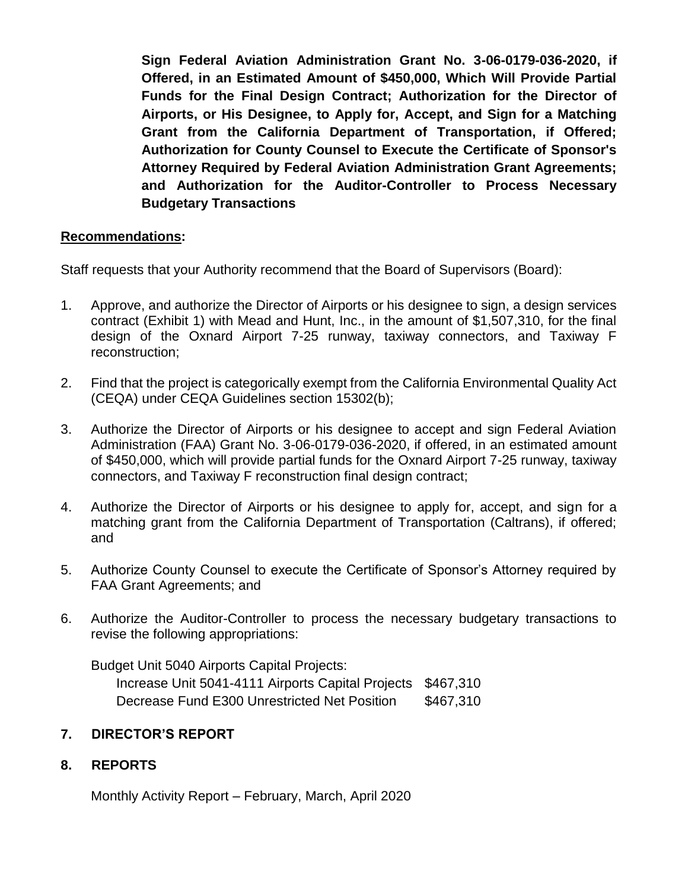**Sign Federal Aviation Administration Grant No. 3-06-0179-036-2020, if Offered, in an Estimated Amount of \$450,000, Which Will Provide Partial Funds for the Final Design Contract; Authorization for the Director of Airports, or His Designee, to Apply for, Accept, and Sign for a Matching Grant from the California Department of Transportation, if Offered; Authorization for County Counsel to Execute the Certificate of Sponsor's Attorney Required by Federal Aviation Administration Grant Agreements; and Authorization for the Auditor-Controller to Process Necessary Budgetary Transactions**

### **Recommendations:**

Staff requests that your Authority recommend that the Board of Supervisors (Board):

- 1. Approve, and authorize the Director of Airports or his designee to sign, a design services contract (Exhibit 1) with Mead and Hunt, Inc., in the amount of \$1,507,310, for the final design of the Oxnard Airport 7-25 runway, taxiway connectors, and Taxiway F reconstruction;
- 2. Find that the project is categorically exempt from the California Environmental Quality Act (CEQA) under CEQA Guidelines section 15302(b);
- 3. Authorize the Director of Airports or his designee to accept and sign Federal Aviation Administration (FAA) Grant No. 3-06-0179-036-2020, if offered, in an estimated amount of \$450,000, which will provide partial funds for the Oxnard Airport 7-25 runway, taxiway connectors, and Taxiway F reconstruction final design contract;
- 4. Authorize the Director of Airports or his designee to apply for, accept, and sign for a matching grant from the California Department of Transportation (Caltrans), if offered; and
- 5. Authorize County Counsel to execute the Certificate of Sponsor's Attorney required by FAA Grant Agreements; and
- 6. Authorize the Auditor-Controller to process the necessary budgetary transactions to revise the following appropriations:

Budget Unit 5040 Airports Capital Projects:

Increase Unit 5041-4111 Airports Capital Projects \$467,310 Decrease Fund E300 Unrestricted Net Position \$467,310

# **7. DIRECTOR'S REPORT**

### **8. REPORTS**

Monthly Activity Report – February, March, April 2020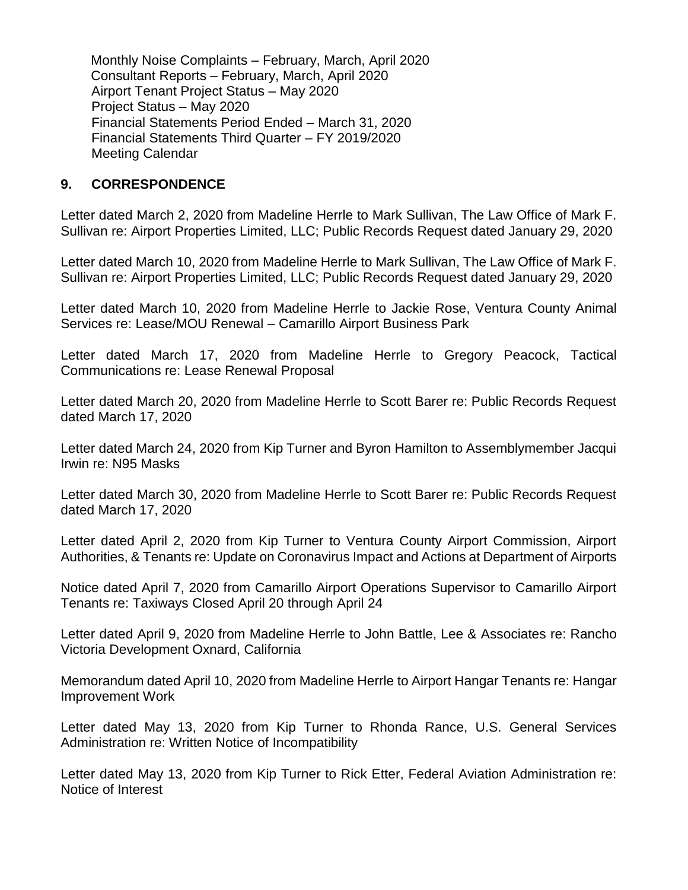Monthly Noise Complaints – February, March, April 2020 Consultant Reports – February, March, April 2020 Airport Tenant Project Status – May 2020 Project Status – May 2020 Financial Statements Period Ended – March 31, 2020 Financial Statements Third Quarter – FY 2019/2020 Meeting Calendar

### **9. CORRESPONDENCE**

Letter dated March 2, 2020 from Madeline Herrle to Mark Sullivan, The Law Office of Mark F. Sullivan re: Airport Properties Limited, LLC; Public Records Request dated January 29, 2020

Letter dated March 10, 2020 from Madeline Herrle to Mark Sullivan, The Law Office of Mark F. Sullivan re: Airport Properties Limited, LLC; Public Records Request dated January 29, 2020

Letter dated March 10, 2020 from Madeline Herrle to Jackie Rose, Ventura County Animal Services re: Lease/MOU Renewal – Camarillo Airport Business Park

Letter dated March 17, 2020 from Madeline Herrle to Gregory Peacock, Tactical Communications re: Lease Renewal Proposal

Letter dated March 20, 2020 from Madeline Herrle to Scott Barer re: Public Records Request dated March 17, 2020

Letter dated March 24, 2020 from Kip Turner and Byron Hamilton to Assemblymember Jacqui Irwin re: N95 Masks

Letter dated March 30, 2020 from Madeline Herrle to Scott Barer re: Public Records Request dated March 17, 2020

Letter dated April 2, 2020 from Kip Turner to Ventura County Airport Commission, Airport Authorities, & Tenants re: Update on Coronavirus Impact and Actions at Department of Airports

Notice dated April 7, 2020 from Camarillo Airport Operations Supervisor to Camarillo Airport Tenants re: Taxiways Closed April 20 through April 24

Letter dated April 9, 2020 from Madeline Herrle to John Battle, Lee & Associates re: Rancho Victoria Development Oxnard, California

Memorandum dated April 10, 2020 from Madeline Herrle to Airport Hangar Tenants re: Hangar Improvement Work

Letter dated May 13, 2020 from Kip Turner to Rhonda Rance, U.S. General Services Administration re: Written Notice of Incompatibility

Letter dated May 13, 2020 from Kip Turner to Rick Etter, Federal Aviation Administration re: Notice of Interest